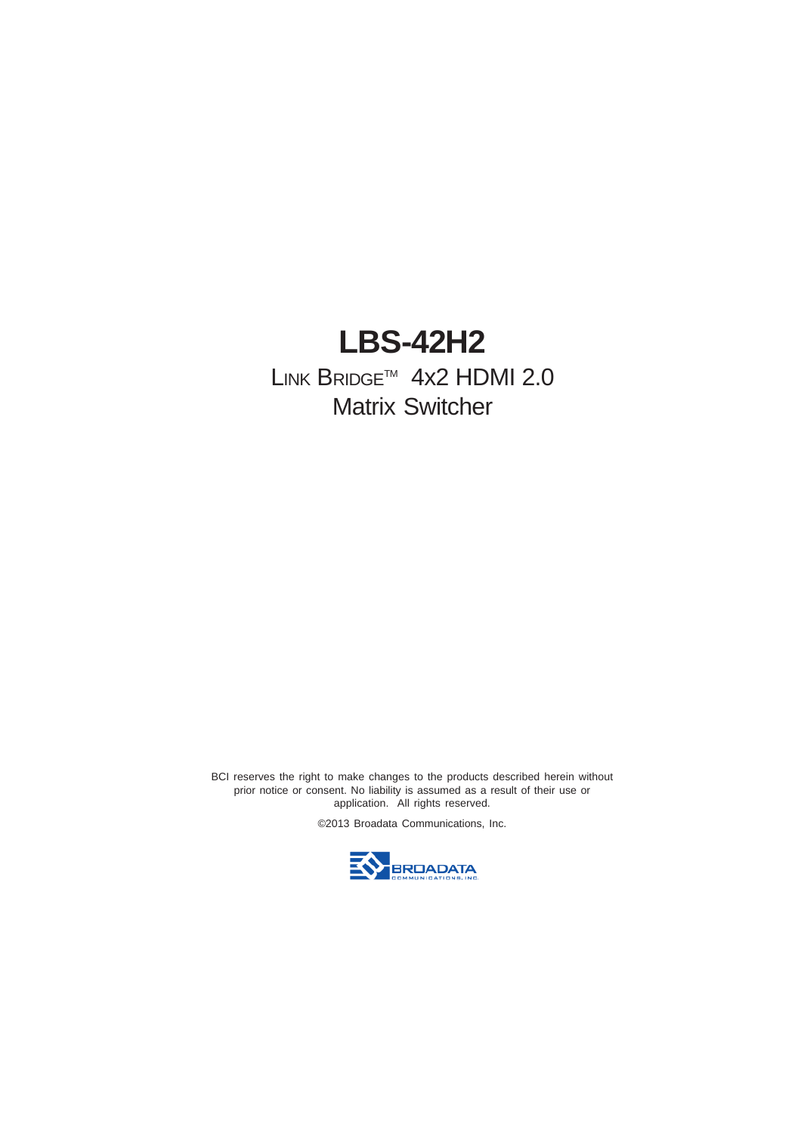# **LBS-42H2**

LINK BRIDGE™ 4x2 HDMI 2.0 Matrix Switcher

BCI reserves the right to make changes to the products described herein without prior notice or consent. No liability is assumed as a result of their use or application. All rights reserved.

©2013 Broadata Communications, Inc.

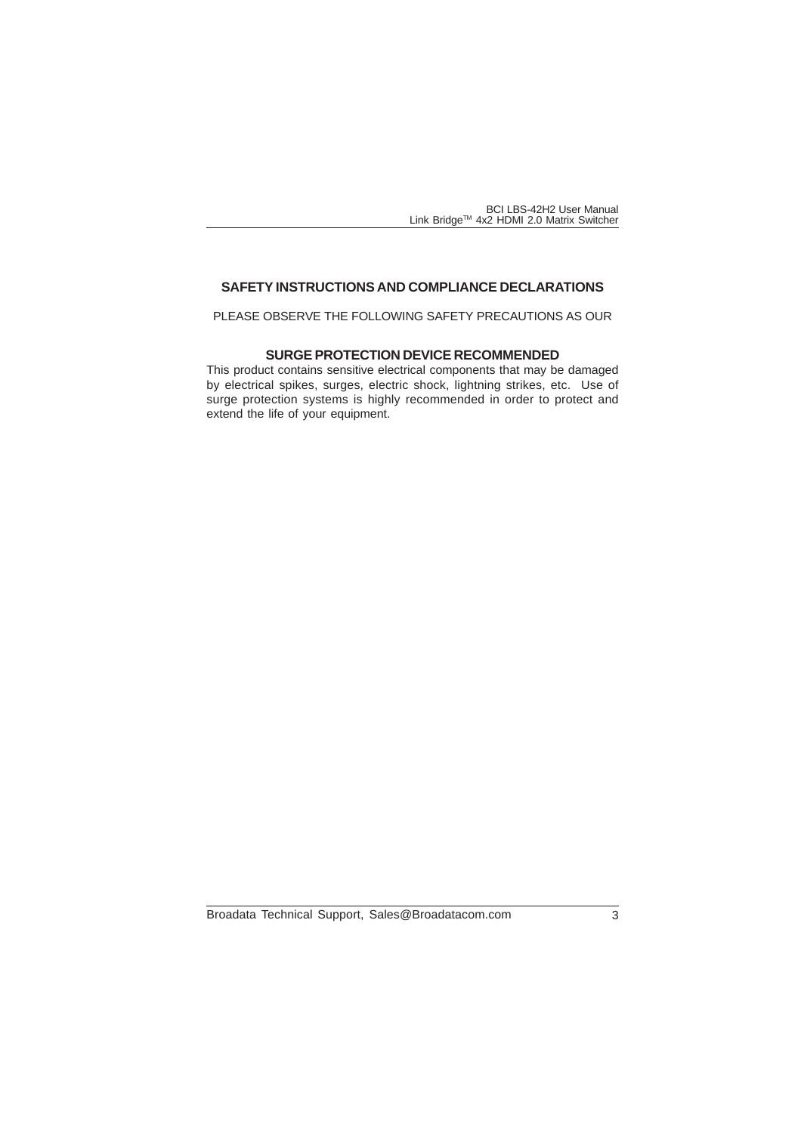## **SAFETY INSTRUCTIONS AND COMPLIANCE DECLARATIONS**

PLEASE OBSERVE THE FOLLOWING SAFETY PRECAUTIONS AS OUR

#### **SURGE PROTECTION DEVICE RECOMMENDED**

This product contains sensitive electrical components that may be damaged by electrical spikes, surges, electric shock, lightning strikes, etc. Use of surge protection systems is highly recommended in order to protect and extend the life of your equipment.

Broadata Technical Support, Sales@Broadatacom.com 3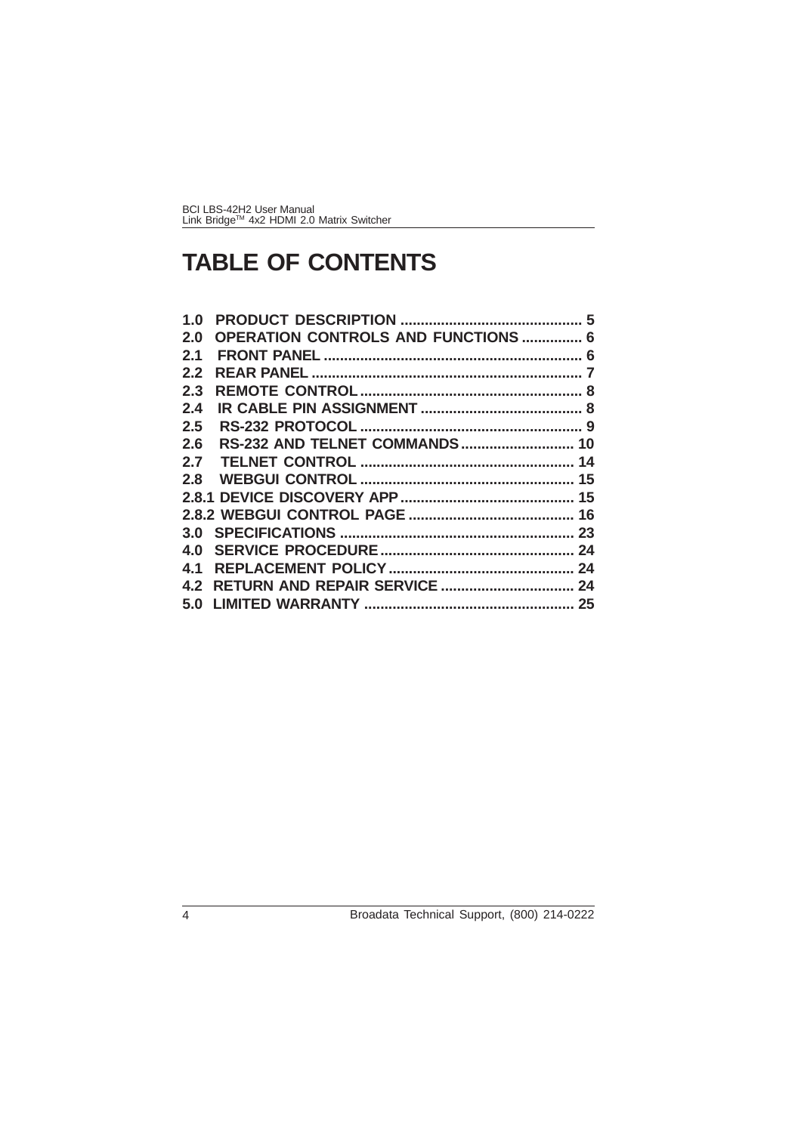# **TABLE OF CONTENTS**

| 1.0           |                                            |  |
|---------------|--------------------------------------------|--|
| 2.0           | <b>OPERATION CONTROLS AND FUNCTIONS  6</b> |  |
| 2.1           |                                            |  |
| $2.2^{\circ}$ |                                            |  |
| 2.3           |                                            |  |
| 2.4           |                                            |  |
| $2.5^{\circ}$ |                                            |  |
| 2.6           |                                            |  |
| 2.7           |                                            |  |
|               |                                            |  |
|               |                                            |  |
|               |                                            |  |
|               |                                            |  |
| 4.0           |                                            |  |
| 4.1           |                                            |  |
|               |                                            |  |
|               |                                            |  |
|               |                                            |  |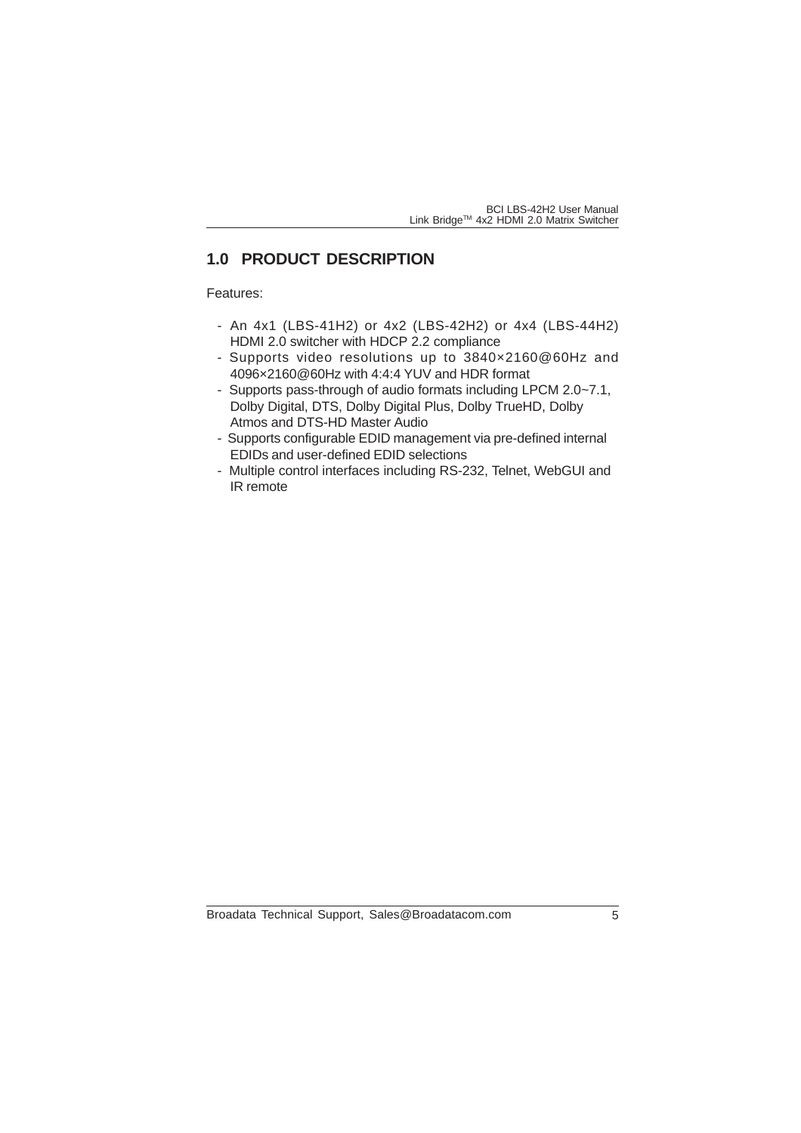# **1.0 PRODUCT DESCRIPTION**

Features:

- An 4x1 (LBS-41H2) or 4x2 (LBS-42H2) or 4x4 (LBS-44H2) HDMI 2.0 switcher with HDCP 2.2 compliance
- Supports video resolutions up to 3840×2160@60Hz and 4096×2160@60Hz with 4:4:4 YUV and HDR format
- Supports pass-through of audio formats including LPCM 2.0~7.1, Dolby Digital, DTS, Dolby Digital Plus, Dolby TrueHD, Dolby Atmos and DTS-HD Master Audio
- Supports configurable EDID management via pre-defined internal EDIDs and user-defined EDID selections
- Multiple control interfaces including RS-232, Telnet, WebGUI and IR remote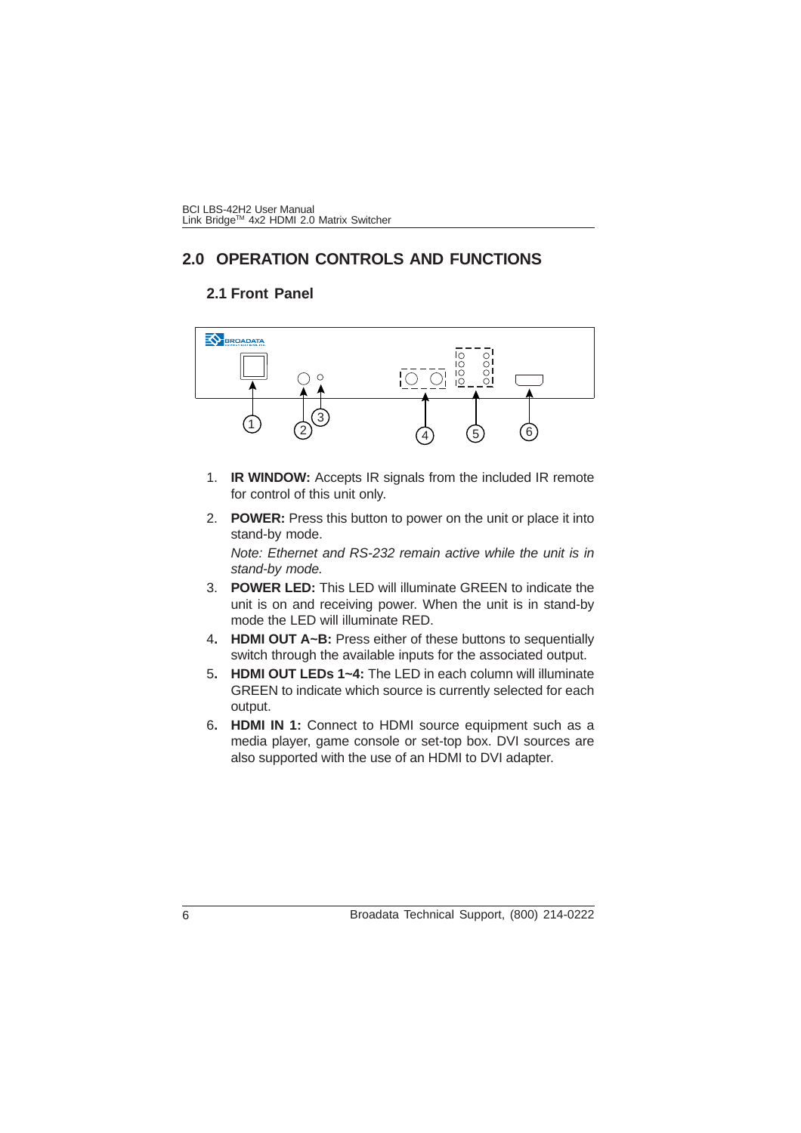# **2.0 OPERATION CONTROLS AND FUNCTIONS**

#### **2.1 Front Panel**



- 1. **IR WINDOW:** Accepts IR signals from the included IR remote for control of this unit only.
- 2. **POWER:** Press this button to power on the unit or place it into stand-by mode.

*Note: Ethernet and RS-232 remain active while the unit is in stand-by mode.*

- 3. **POWER LED:** This LED will illuminate GREEN to indicate the unit is on and receiving power. When the unit is in stand-by mode the LED will illuminate RED.
- 4**. HDMI OUT A~B:** Press either of these buttons to sequentially switch through the available inputs for the associated output.
- 5**. HDMI OUT LEDs 1~4:** The LED in each column will illuminate GREEN to indicate which source is currently selected for each output.
- 6**. HDMI IN 1:** Connect to HDMI source equipment such as a media player, game console or set-top box. DVI sources are also supported with the use of an HDMI to DVI adapter.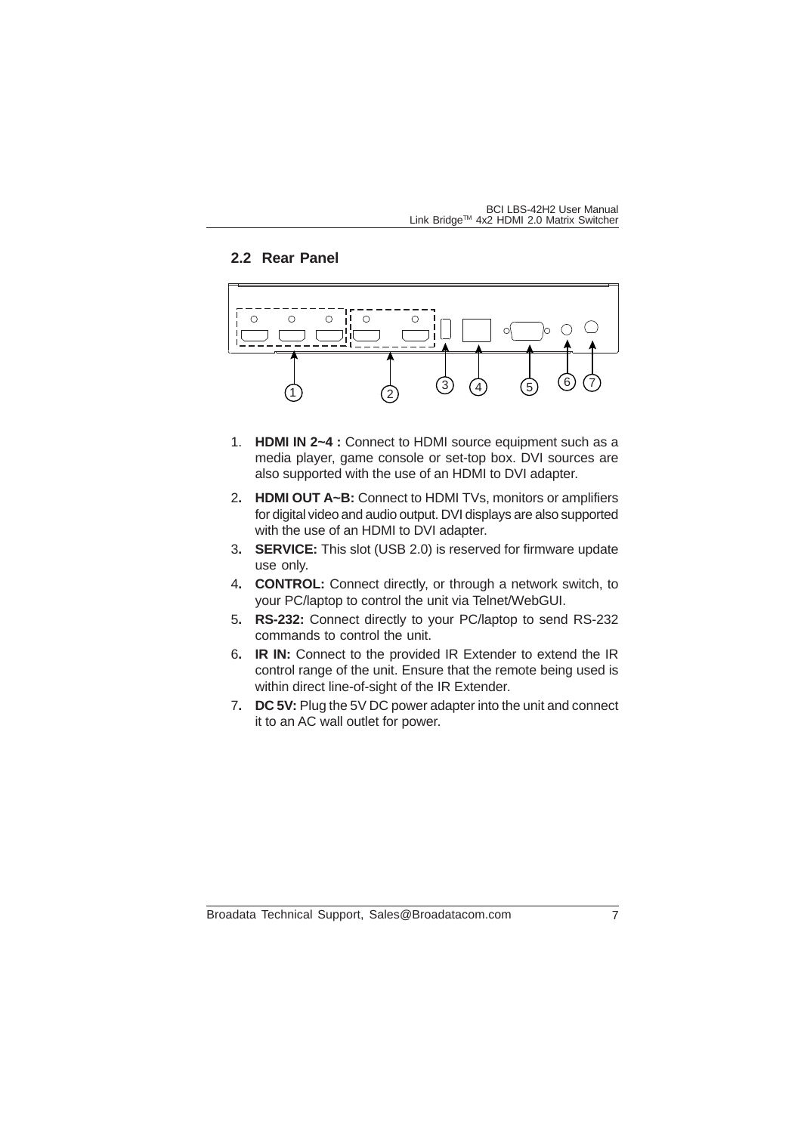## **2.2 Rear Panel**



- 1. **HDMI IN 2~4 :** Connect to HDMI source equipment such as a media player, game console or set-top box. DVI sources are also supported with the use of an HDMI to DVI adapter.
- 2**. HDMI OUT A~B:** Connect to HDMI TVs, monitors or amplifiers for digital video and audio output. DVI displays are also supported with the use of an HDMI to DVI adapter.
- 3**. SERVICE:** This slot (USB 2.0) is reserved for firmware update use only.
- 4**. CONTROL:** Connect directly, or through a network switch, to your PC/laptop to control the unit via Telnet/WebGUI.
- 5**. RS-232:** Connect directly to your PC/laptop to send RS-232 commands to control the unit.
- 6**. IR IN:** Connect to the provided IR Extender to extend the IR control range of the unit. Ensure that the remote being used is within direct line-of-sight of the IR Extender.
- 7**. DC 5V:** Plug the 5V DC power adapter into the unit and connect it to an AC wall outlet for power.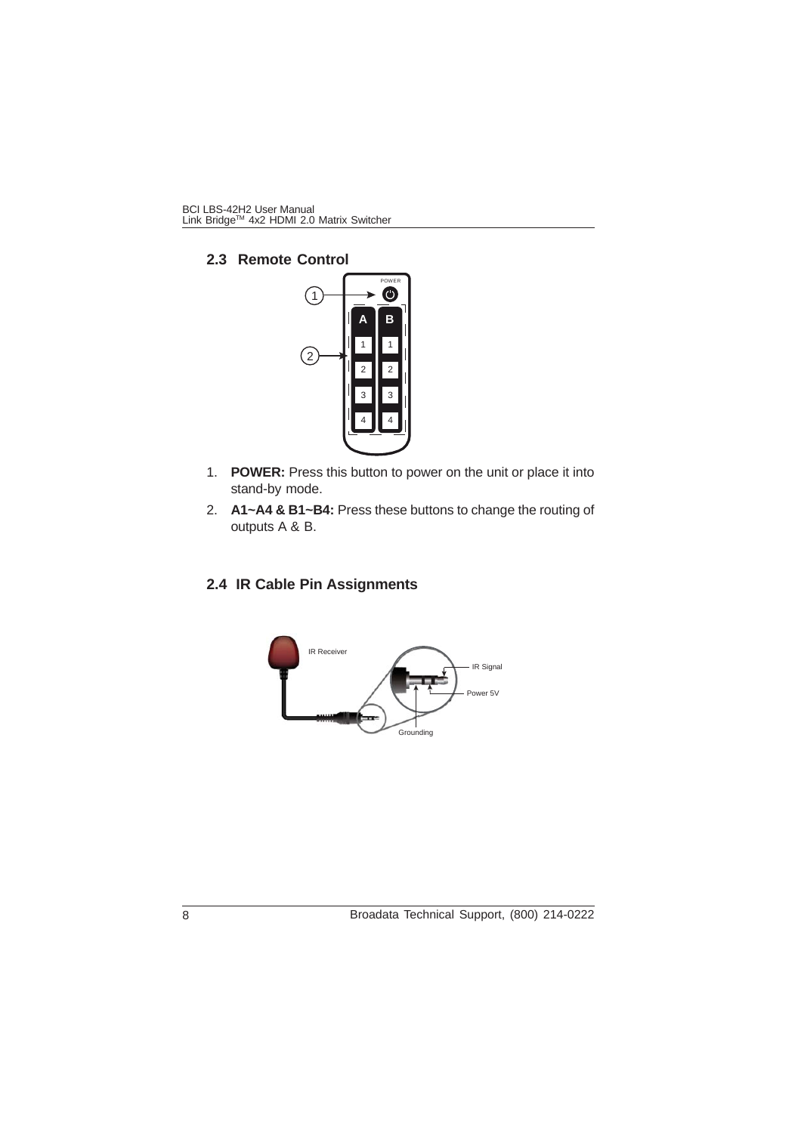**2.3 Remote Control**



- 1. **POWER:** Press this button to power on the unit or place it into stand-by mode.
- 2. **A1~A4 & B1~B4:** Press these buttons to change the routing of outputs A & B.

# **2.4 IR Cable Pin Assignments**

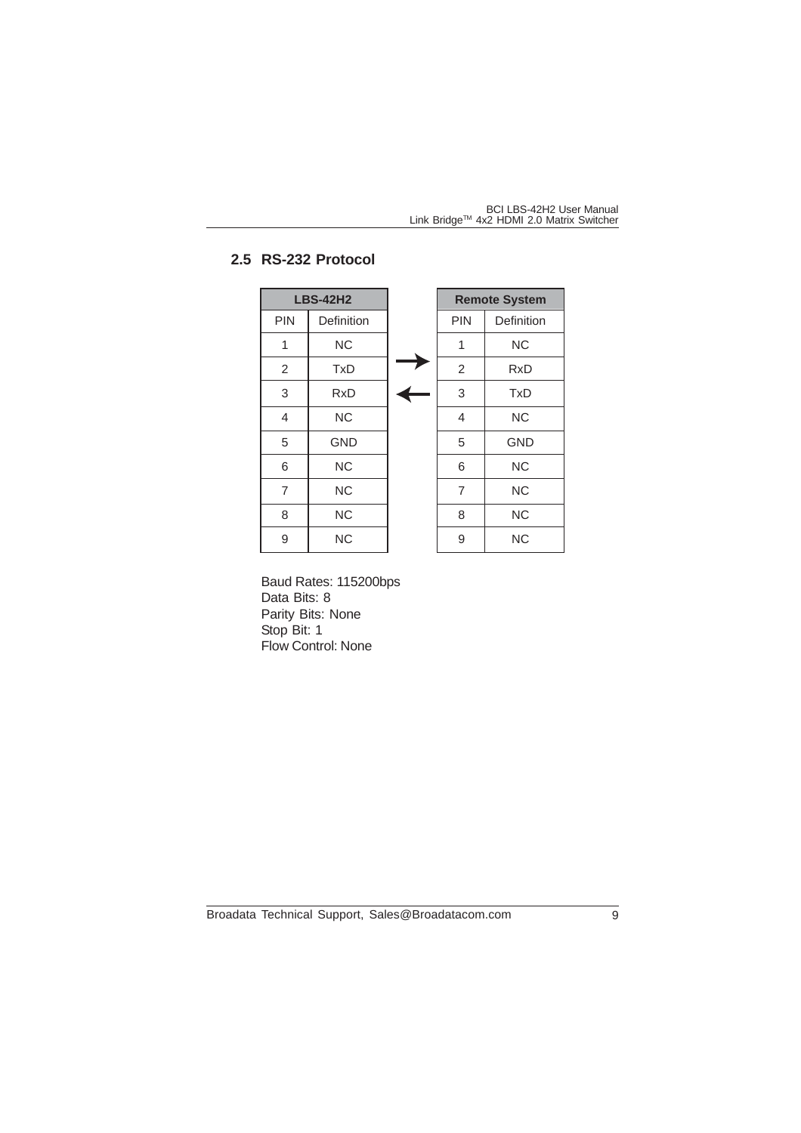# **2.5 RS-232 Protocol**

|                | <b>LBS-42H2</b> |                | <b>Remote System</b> |
|----------------|-----------------|----------------|----------------------|
| <b>PIN</b>     | Definition      | <b>PIN</b>     | Definition           |
| 1              | <b>NC</b>       | 1              | <b>NC</b>            |
| 2              | <b>TxD</b>      | $\overline{2}$ | <b>RxD</b>           |
| 3              | <b>RxD</b>      | 3              | <b>TxD</b>           |
| 4              | <b>NC</b>       | 4              | <b>NC</b>            |
| 5              | <b>GND</b>      | 5              | <b>GND</b>           |
| 6              | <b>NC</b>       | 6              | <b>NC</b>            |
| $\overline{7}$ | <b>NC</b>       | $\overline{7}$ | <b>NC</b>            |
| 8              | <b>NC</b>       | 8              | <b>NC</b>            |
| 9              | <b>NC</b>       | 9              | <b>NC</b>            |

Baud Rates: 115200bps Data Bits: 8 Parity Bits: None Stop Bit: 1 Flow Control: None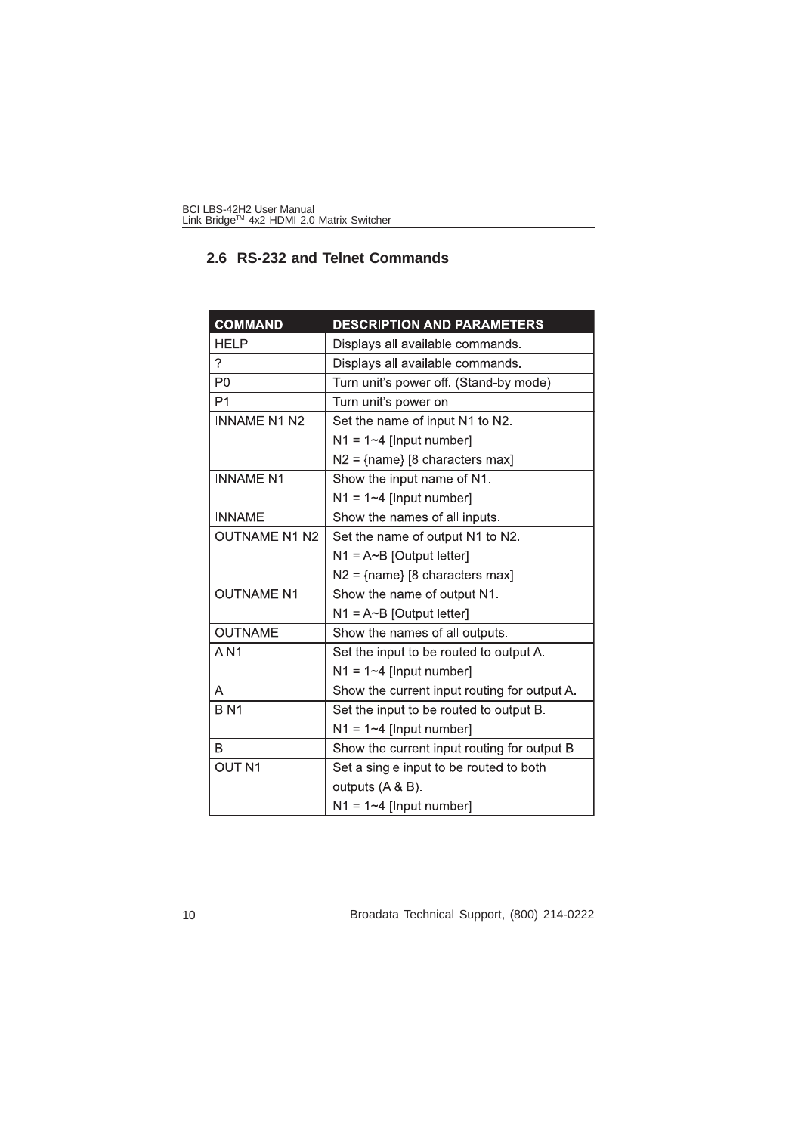|  |  | 2.6 RS-232 and Telnet Commands |  |
|--|--|--------------------------------|--|
|  |  |                                |  |

| <b>COMMAND</b>       | <b>DESCRIPTION AND PARAMETERS</b>            |
|----------------------|----------------------------------------------|
| <b>HELP</b>          | Displays all available commands.             |
| 2                    | Displays all available commands.             |
| P <sub>0</sub>       | Turn unit's power off. (Stand-by mode)       |
| P <sub>1</sub>       | Turn unit's power on.                        |
| <b>INNAME N1 N2</b>  | Set the name of input N1 to N2.              |
|                      | $N1 = 1 - 4$ [Input number]                  |
|                      | $N2 = \{name\} [8 \text{ characters max}]$   |
| <b>INNAME N1</b>     | Show the input name of N1.                   |
|                      | $N1 = 1 - 4$ [Input number]                  |
| <b>INNAME</b>        | Show the names of all inputs.                |
| <b>OUTNAME N1 N2</b> | Set the name of output N1 to N2.             |
|                      | $N1 = A~B$ [Output letter]                   |
|                      | $N2 = \{name\} [8 \text{ characters max}]$   |
| <b>OUTNAME N1</b>    | Show the name of output N1.                  |
|                      | $N1 = A \sim B$ [Output letter]              |
| <b>OUTNAME</b>       | Show the names of all outputs.               |
| A N1                 | Set the input to be routed to output A.      |
|                      | $N1 = 1 - 4$ [Input number]                  |
| A                    | Show the current input routing for output A. |
| <b>BN1</b>           | Set the input to be routed to output B.      |
|                      | $N1 = 1 - 4$ [Input number]                  |
| B                    | Show the current input routing for output B. |
| <b>OUT N1</b>        | Set a single input to be routed to both      |
|                      | outputs (A & B).                             |
|                      | $N1 = 1 - 4$ [Input number]                  |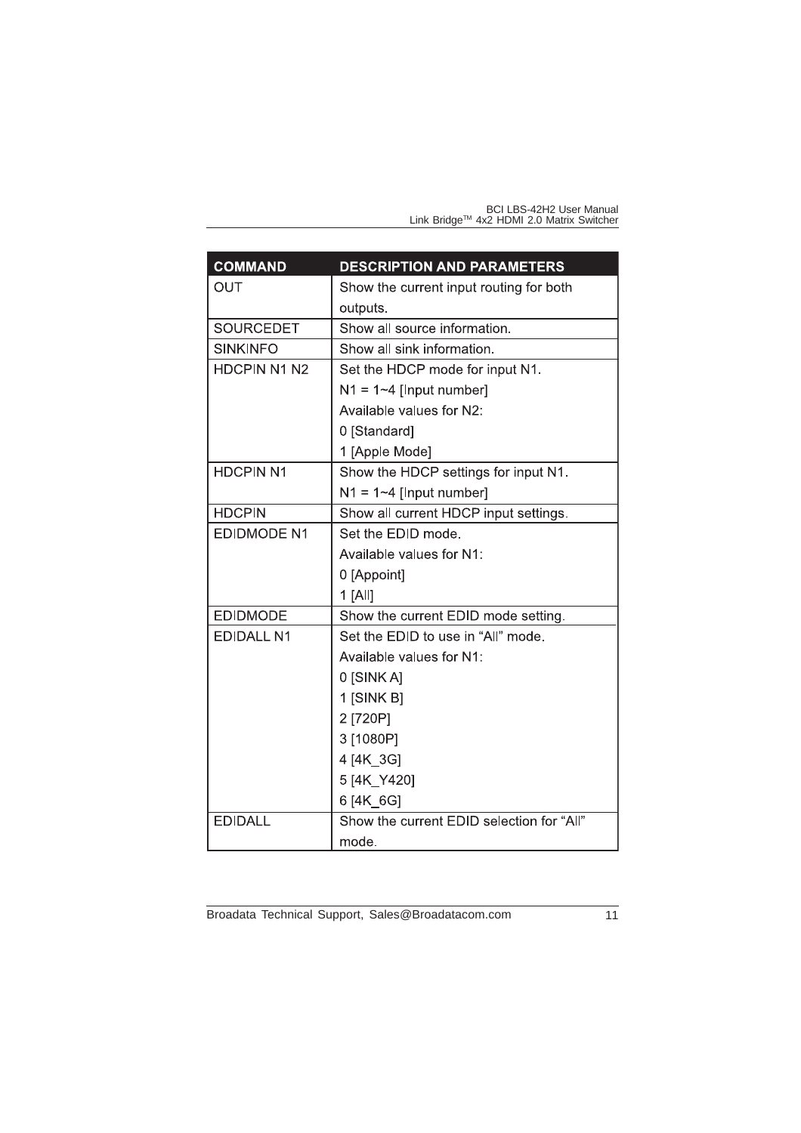| <b>COMMAND</b>      | <b>DESCRIPTION AND PARAMETERS</b>         |
|---------------------|-------------------------------------------|
| OUT                 | Show the current input routing for both   |
|                     | outputs.                                  |
| <b>SOURCEDET</b>    | Show all source information.              |
| <b>SINKINFO</b>     | Show all sink information.                |
| <b>HDCPIN N1 N2</b> | Set the HDCP mode for input N1.           |
|                     | $N1 = 1 - 4$ [Input number]               |
|                     | Available values for N2:                  |
|                     | 0 [Standard]                              |
|                     | 1 [Apple Mode]                            |
| <b>HDCPIN N1</b>    | Show the HDCP settings for input N1.      |
|                     | $N1 = 1 - 4$ [Input number]               |
| <b>HDCPIN</b>       | Show all current HDCP input settings.     |
| <b>EDIDMODE N1</b>  | Set the EDID mode.                        |
|                     | Available values for N1:                  |
|                     | 0 [Appoint]                               |
|                     | $1$ [All]                                 |
| <b>EDIDMODE</b>     | Show the current EDID mode setting.       |
| <b>EDIDALL N1</b>   | Set the EDID to use in "All" mode.        |
|                     | Available values for N1:                  |
|                     | 0 [SINK A]                                |
|                     | 1 [SINK B]                                |
|                     | 2 [720P]                                  |
|                     | 3 [1080P]                                 |
|                     | 4 [4K 3G]                                 |
|                     | 5 [4K Y420]                               |
|                     | 6 [4K 6G]                                 |
| <b>EDIDALL</b>      | Show the current EDID selection for "All" |
|                     | mode.                                     |

Broadata Technical Support, Sales@Broadatacom.com 11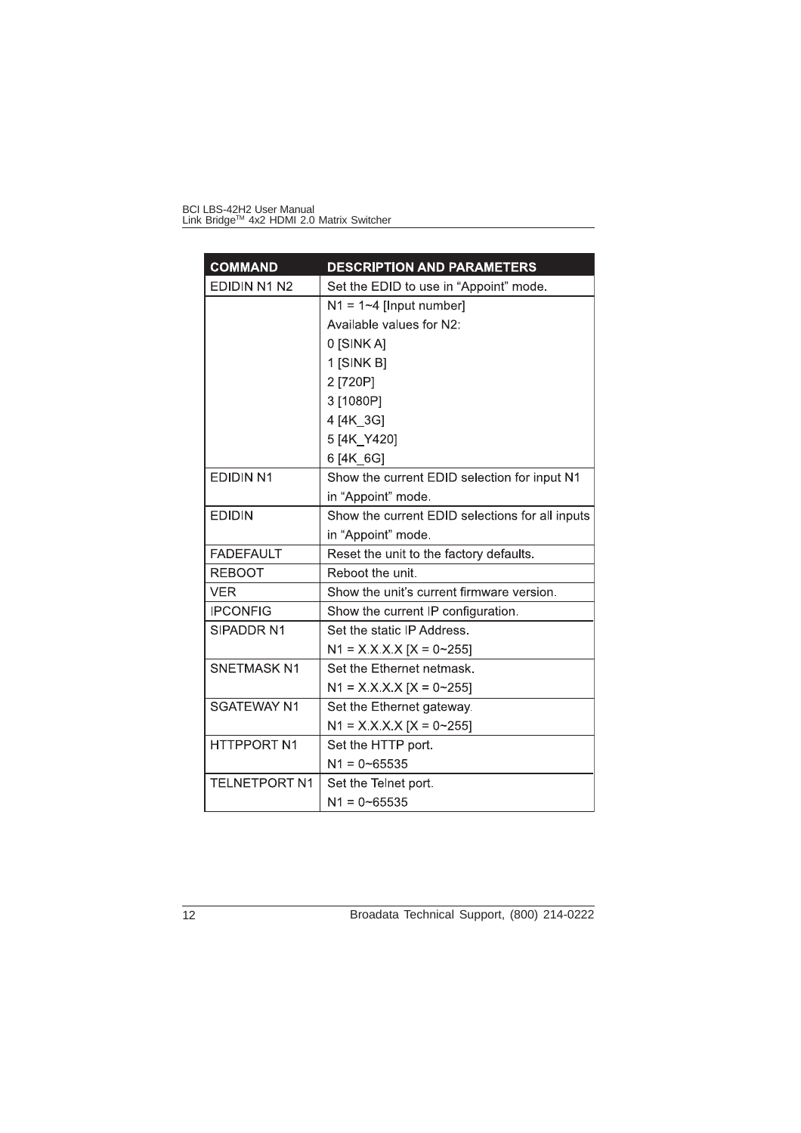| <b>COMMAND</b>       | <b>DESCRIPTION AND PARAMETERS</b>               |
|----------------------|-------------------------------------------------|
| EDIDIN N1 N2         | Set the EDID to use in "Appoint" mode.          |
|                      | $N1 = 1 - 4$ [Input number]                     |
|                      | Available values for N2:                        |
|                      | 0 [SINK A]                                      |
|                      | 1 [SINK B]                                      |
|                      | 2 [720P]                                        |
|                      | 3 [1080P]                                       |
|                      | 4 [4K 3G]                                       |
|                      | 5 [4K_Y420]                                     |
|                      | 6 [4K 6G]                                       |
| <b>EDIDIN N1</b>     | Show the current EDID selection for input N1    |
|                      | in "Appoint" mode.                              |
| <b>EDIDIN</b>        | Show the current EDID selections for all inputs |
|                      | in "Appoint" mode                               |
| <b>FADEFAULT</b>     | Reset the unit to the factory defaults.         |
| <b>REBOOT</b>        | Reboot the unit.                                |
| <b>VER</b>           | Show the unit's current firmware version.       |
| <b>IPCONFIG</b>      | Show the current IP configuration.              |
| SIPADDR N1           | Set the static IP Address.                      |
|                      | $N1 = X.X.X [X = 0~255]$                        |
| <b>SNETMASK N1</b>   | Set the Ethernet netmask.                       |
|                      | $N1 = X X X X [X = 0~255]$                      |
| <b>SGATEWAY N1</b>   | Set the Ethernet gateway.                       |
|                      | $N1 = X.X.X.X [X = 0~255]$                      |
| <b>HTTPPORT N1</b>   | Set the HTTP port.                              |
|                      | $N1 = 0 - 65535$                                |
| <b>TELNETPORT N1</b> | Set the Telnet port.                            |
|                      | $N1 = 0 - 65535$                                |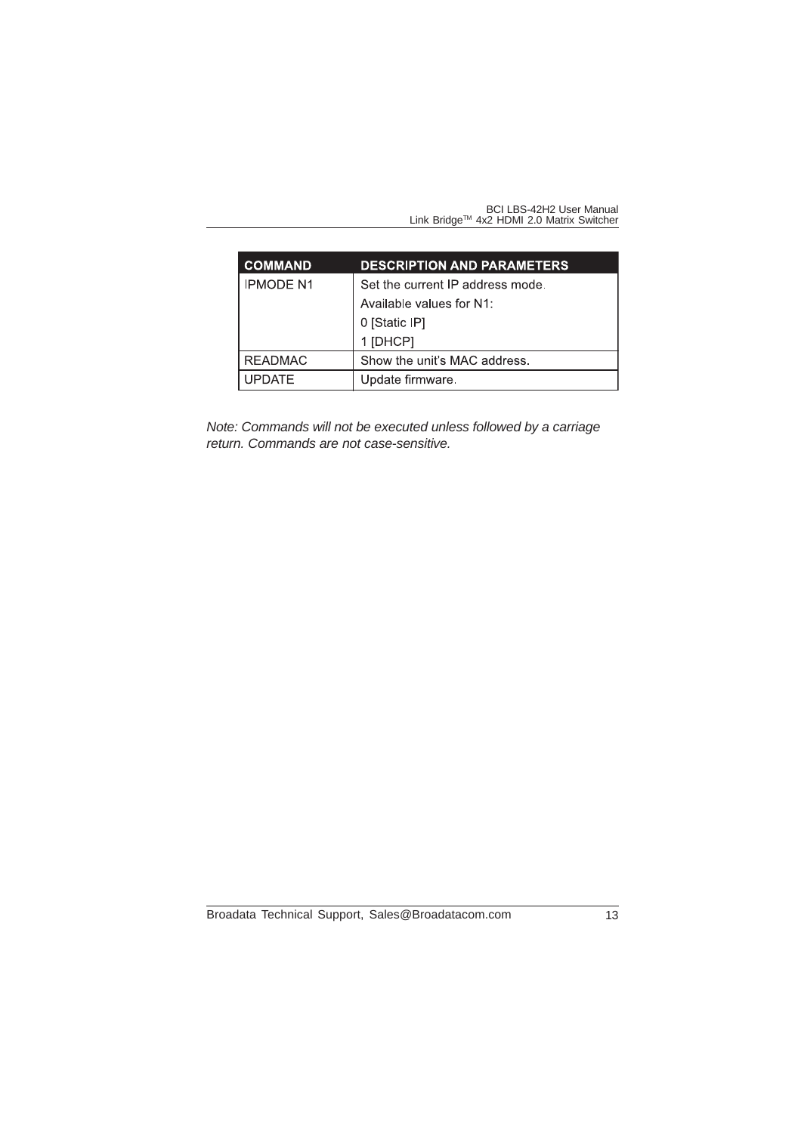| <b>COMMAND</b>   | <b>DESCRIPTION AND PARAMETERS</b> |
|------------------|-----------------------------------|
| <b>IPMODE N1</b> | Set the current IP address mode.  |
|                  | Available values for N1:          |
|                  | 0 [Static IP]                     |
|                  | 1 [DHCP]                          |
| <b>READMAC</b>   | Show the unit's MAC address.      |
| <b>UPDATE</b>    | Update firmware.                  |

*Note: Commands will not be executed unless followed by a carriage return. Commands are not case-sensitive.*

Broadata Technical Support, Sales@Broadatacom.com 13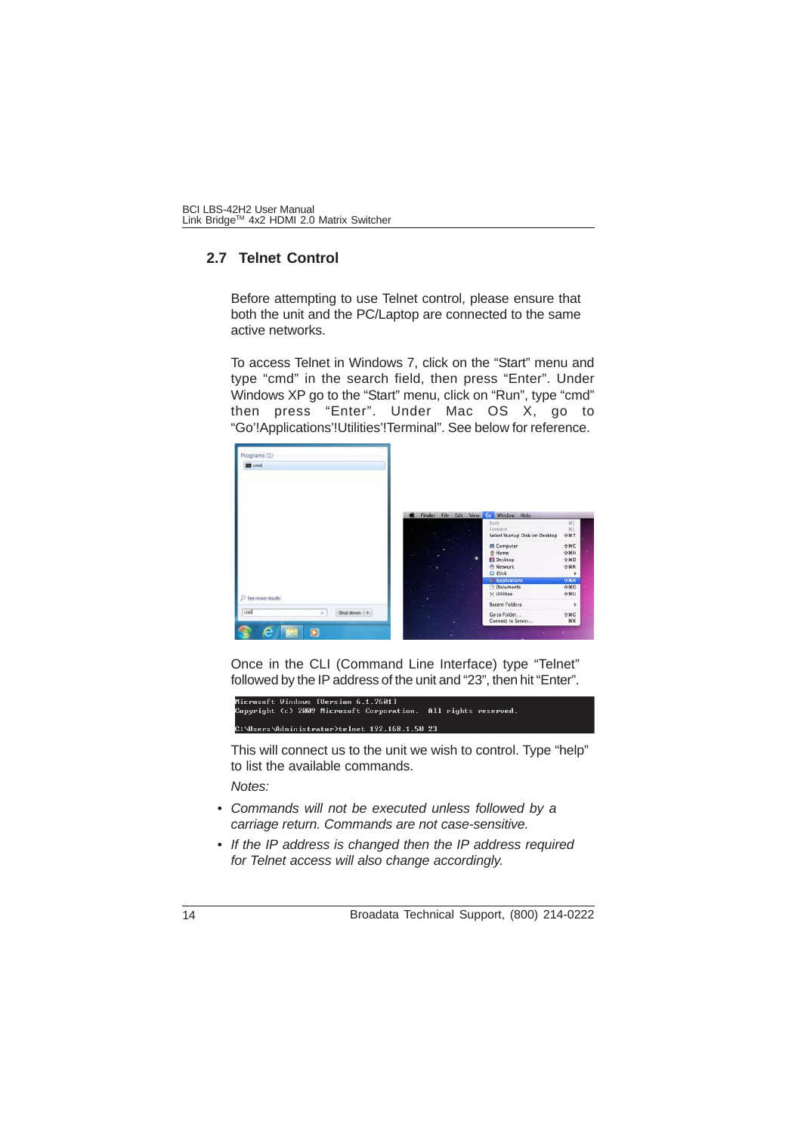## **2.7 Telnet Control**

Before attempting to use Telnet control, please ensure that both the unit and the PC/Laptop are connected to the same active networks.

To access Telnet in Windows 7, click on the "Start" menu and type "cmd" in the search field, then press "Enter". Under Windows XP go to the "Start" menu, click on "Run", type "cmd" then press "Enter". Under Mac OS X, go to "Go'!Applications'!Utilities'!Terminal". See below for reference.



Once in the CLI (Command Line Interface) type "Telnet" followed by the IP address of the unit and "23", then hit "Enter".

Microsoft Windows [Version 6.1.7601]<br>Copyright (c) 2009 Microsoft Corporation. All rights reserved. rs\Administrator>telnet 192.168.1.50 23:

This will connect us to the unit we wish to control. Type "help" to list the available commands.

*Notes:*

- *Commands will not be executed unless followed by a carriage return. Commands are not case-sensitive.*
- *If the IP address is changed then the IP address required for Telnet access will also change accordingly.*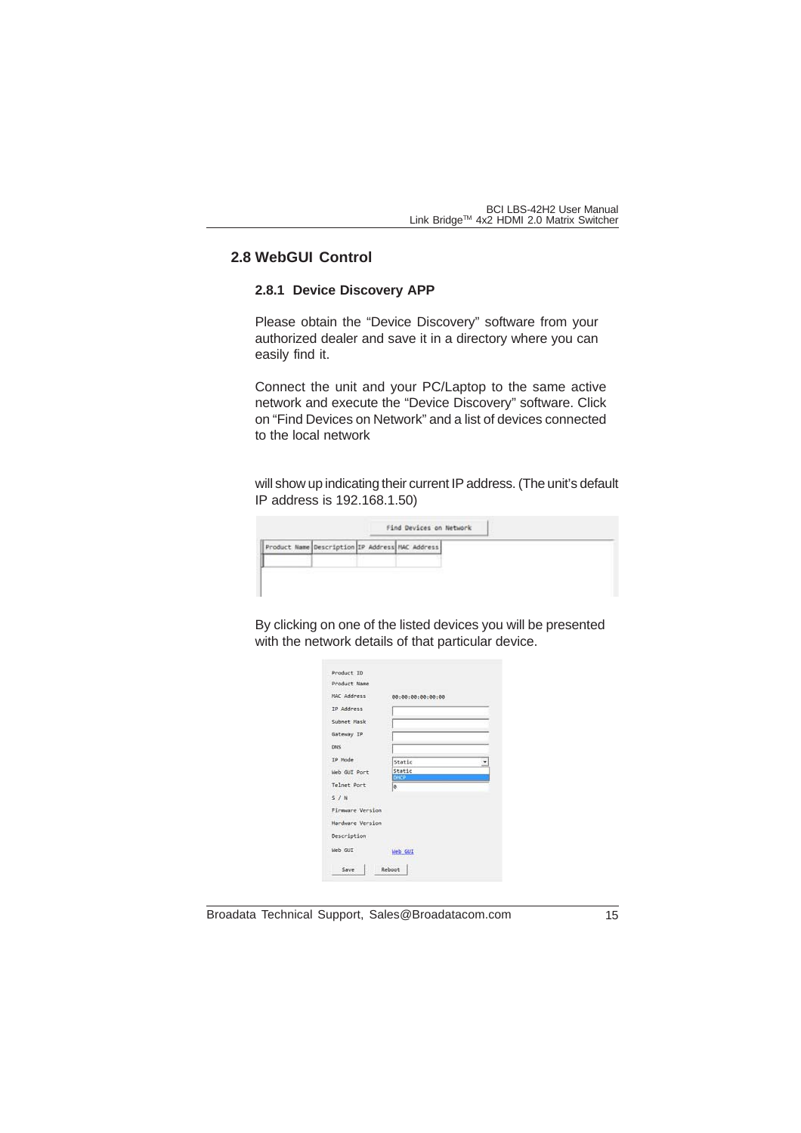## **2.8 WebGUI Control**

### **2.8.1 Device Discovery APP**

Please obtain the "Device Discovery" software from your authorized dealer and save it in a directory where you can easily find it.

Connect the unit and your PC/Laptop to the same active network and execute the "Device Discovery" software. Click on "Find Devices on Network" and a list of devices connected to the local network

will show up indicating their current IP address. (The unit's default IP address is 192.168.1.50)

| Product Name Description IP Address MAC Address |  |  |  |
|-------------------------------------------------|--|--|--|
|                                                 |  |  |  |
|                                                 |  |  |  |

By clicking on one of the listed devices you will be presented with the network details of that particular device.

| Product ID         |                   |  |
|--------------------|-------------------|--|
| Product Name       |                   |  |
| <b>NAC Address</b> | 00:00:00:00:00:00 |  |
| IP Address         |                   |  |
| Subnet Mask        |                   |  |
| Gateway IP         |                   |  |
| <b>DNS</b>         |                   |  |
| TP Mode            | Static            |  |
| Web GUT Port       | Static            |  |
| Telnet Port        | DHCP<br>le.       |  |
| $5.1$ N            |                   |  |
| Firmware Version   |                   |  |
| Hardware Version   |                   |  |
| Description        |                   |  |
| Web GUI            | Web GUI           |  |
| Save               | Reboot            |  |

Broadata Technical Support, Sales@Broadatacom.com 15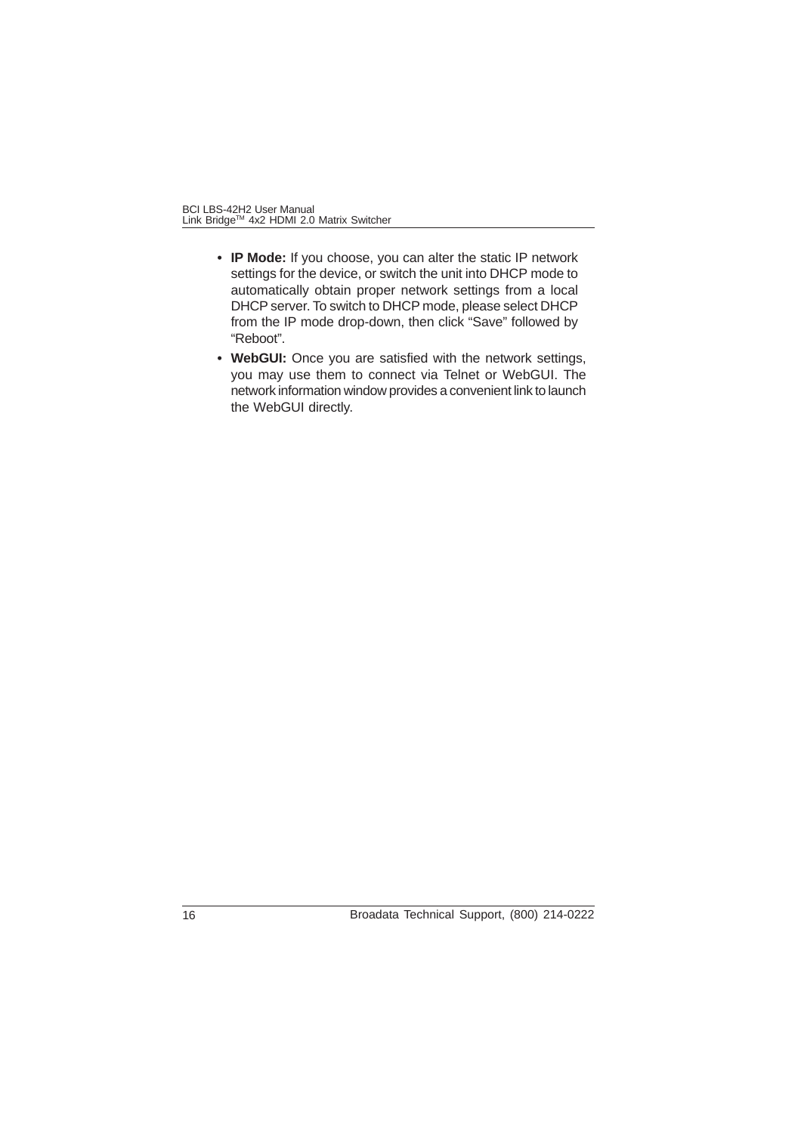- **IP Mode:** If you choose, you can alter the static IP network settings for the device, or switch the unit into DHCP mode to automatically obtain proper network settings from a local DHCP server. To switch to DHCP mode, please select DHCP from the IP mode drop-down, then click "Save" followed by "Reboot".
- **WebGUI:** Once you are satisfied with the network settings, you may use them to connect via Telnet or WebGUI. The network information window provides a convenient link to launch the WebGUI directly.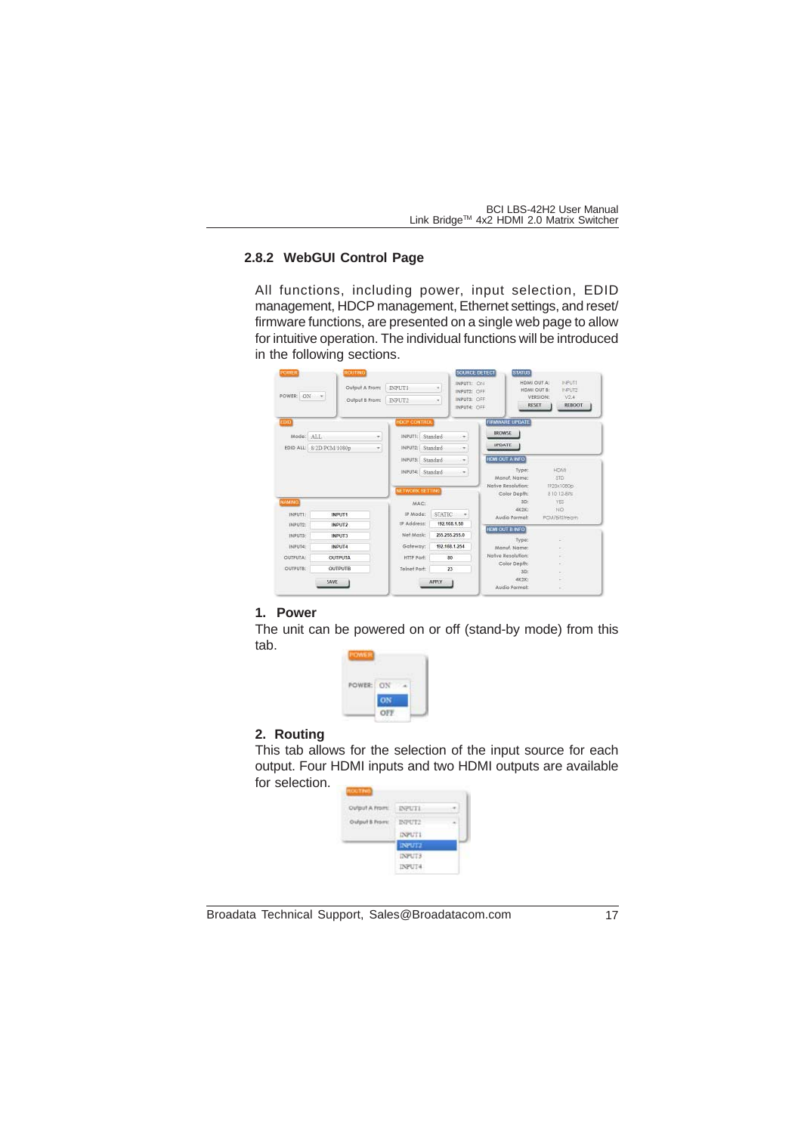#### **2.8.2 WebGUI Control Page**

All functions, including power, input selection, EDID management, HDCP management, Ethernet settings, and reset/ firmware functions, are presented on a single web page to allow for intuitive operation. The individual functions will be introduced in the following sections.



#### **1. Power**

The unit can be powered on or off (stand-by mode) from this tab.



#### **2. Routing**

This tab allows for the selection of the input source for each output. Four HDMI inputs and two HDMI outputs are available for selection.



Broadata Technical Support, Sales@Broadatacom.com 17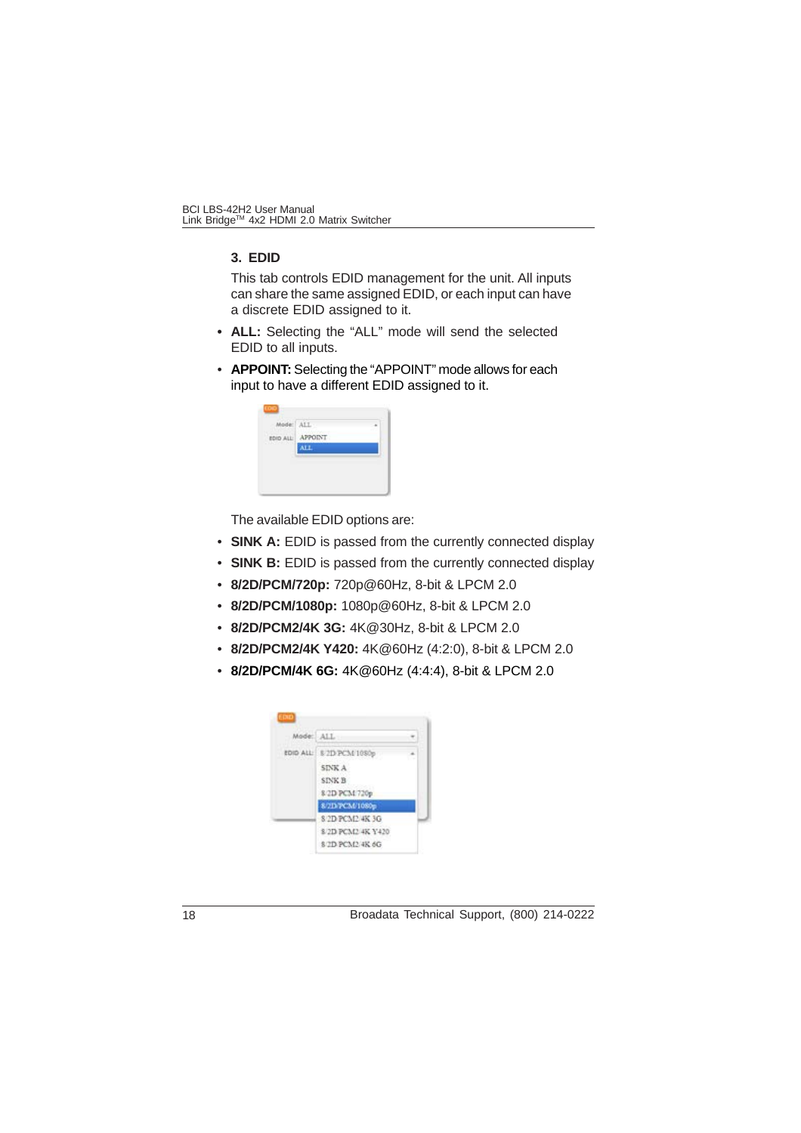#### **3. EDID**

This tab controls EDID management for the unit. All inputs can share the same assigned EDID, or each input can have a discrete EDID assigned to it.

- **ALL:** Selecting the "ALL" mode will send the selected EDID to all inputs.
- **APPOINT:** Selecting the "APPOINT" mode allows for each input to have a different EDID assigned to it.

| EDIC<br>1727<br>108 S.G |      |  |
|-------------------------|------|--|
|                         | ALL. |  |
| ۰                       |      |  |
|                         |      |  |

The available EDID options are:

- **SINK A:** EDID is passed from the currently connected display
- **SINK B:** EDID is passed from the currently connected display
- **8/2D/PCM/720p:** 720p@60Hz, 8-bit & LPCM 2.0
- **8/2D/PCM/1080p:** 1080p@60Hz, 8-bit & LPCM 2.0
- **8/2D/PCM2/4K 3G:** 4K@30Hz, 8-bit & LPCM 2.0
- **8/2D/PCM2/4K Y420:** 4K@60Hz (4:2:0), 8-bit & LPCM 2.0
- **8/2D/PCM/4K 6G:** 4K@60Hz (4:4:4), 8-bit & LPCM 2.0

| Ander ALL |                   |  |
|-----------|-------------------|--|
| EDID ALL: | 8/2D PCM 1080s    |  |
|           | SINK A            |  |
|           | <b>SINK B</b>     |  |
|           | 8/2D PCM 720p     |  |
|           | 8/2D PCM/1080p    |  |
|           | 8 2D PCM2 4K 3G   |  |
|           | 8/2D PCM2 4K Y420 |  |
|           | 8/2D PCM2/4K 6G   |  |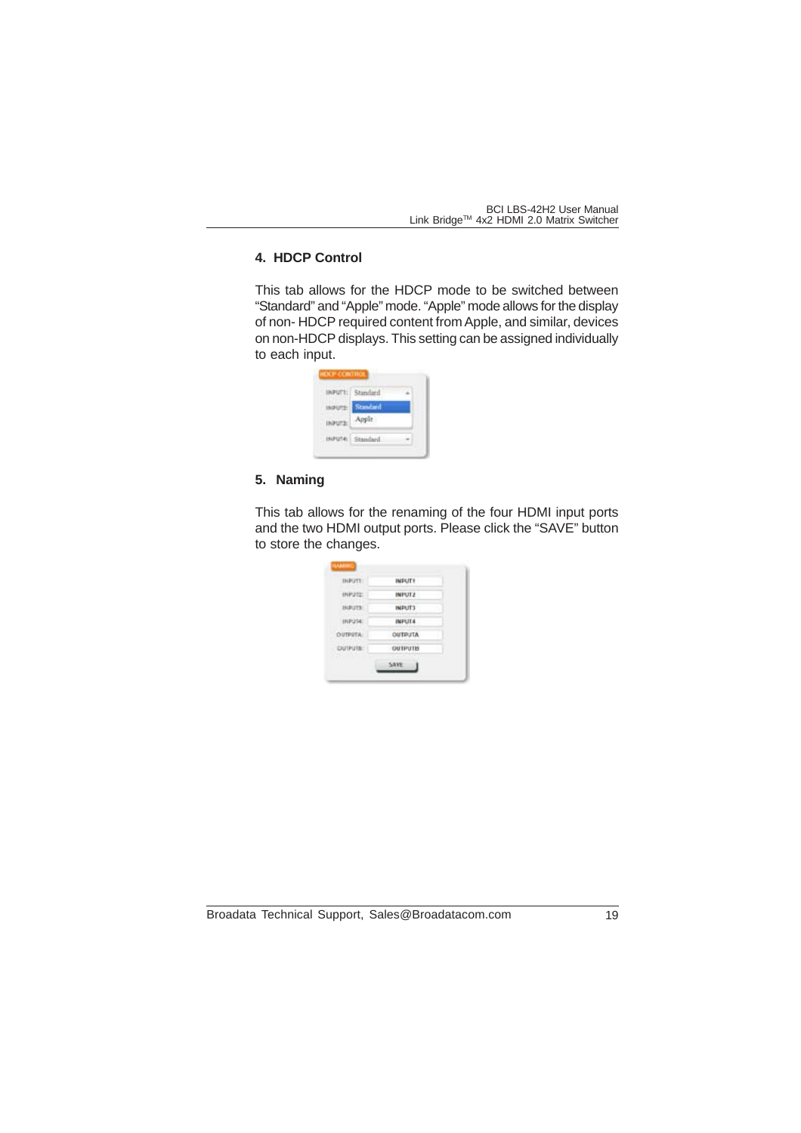## **4. HDCP Control**

This tab allows for the HDCP mode to be switched between "Standard" and "Apple" mode. "Apple" mode allows for the display of non- HDCP required content from Apple, and similar, devices on non-HDCP displays. This setting can be assigned individually to each input.

| Standard |  |
|----------|--|
| pat.     |  |
| Standard |  |

#### **5. Naming**

This tab allows for the renaming of the four HDMI input ports and the two HDMI output ports. Please click the "SAVE" button to store the changes.

| INFUTT:         | IMPLITY        |  |
|-----------------|----------------|--|
| <b>INPUTE</b>   | <b>INFUTZ</b>  |  |
| <b>HAPLETS!</b> | IMPUT3         |  |
| INFUM:          | <b>INFUT4</b>  |  |
| OUTPUTA:        | <b>ATLRIDO</b> |  |
| CUTPUTB:        | OUTPUTER       |  |
|                 | <b>SAVE</b>    |  |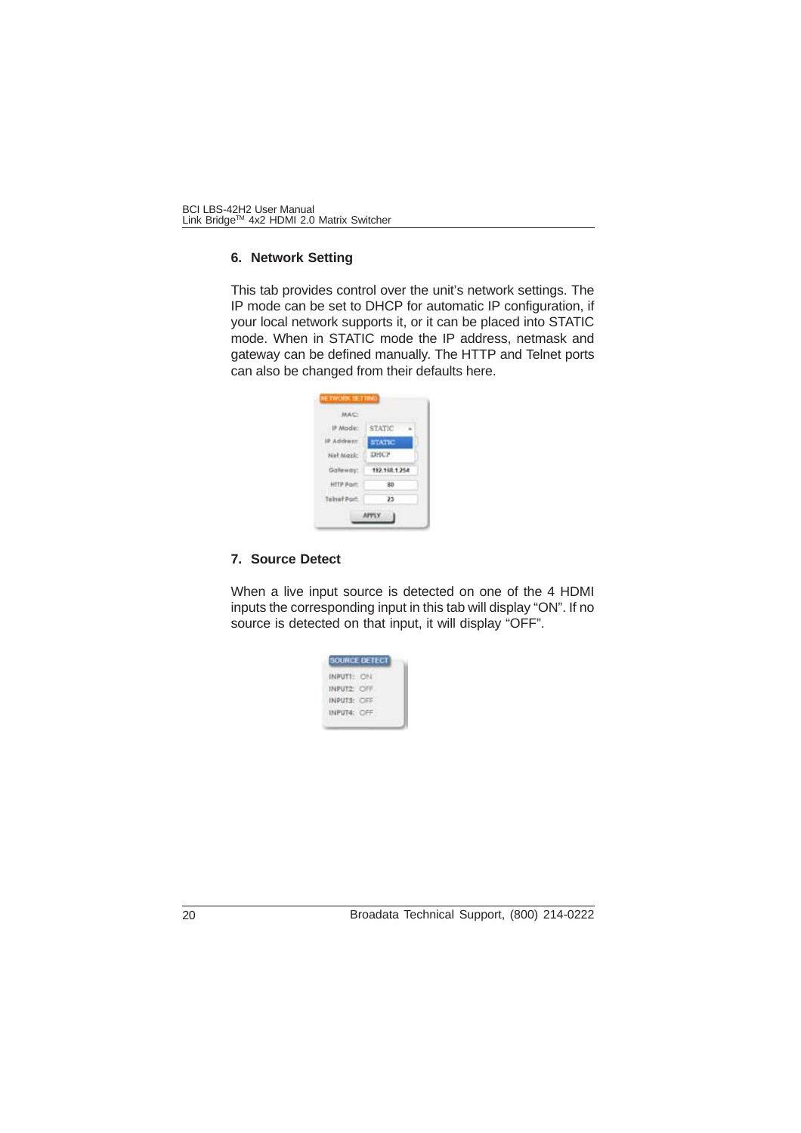#### **6. Network Setting**

This tab provides control over the unit's network settings. The IP mode can be set to DHCP for automatic IP configuration, if your local network supports it, or it can be placed into STATIC mode. When in STATIC mode the IP address, netmask and gateway can be defined manually. The HTTP and Telnet ports can also be changed from their defaults here.

| MAC.         |               |
|--------------|---------------|
| 护 Mode:      | <b>STATIC</b> |
|              | <b>STATIC</b> |
| Net Mask:    | DHCP          |
| Galeway.     | 192.198.1.254 |
| HTTP Port    | ВĎ            |
| Telnet Port: | 23            |

#### **7. Source Detect**

When a live input source is detected on one of the 4 HDMI inputs the corresponding input in this tab will display "ON". If no source is detected on that input, it will display "OFF".

| INPUT   |  |
|---------|--|
| INPUT2: |  |
| INPUTS: |  |
| INPUT4: |  |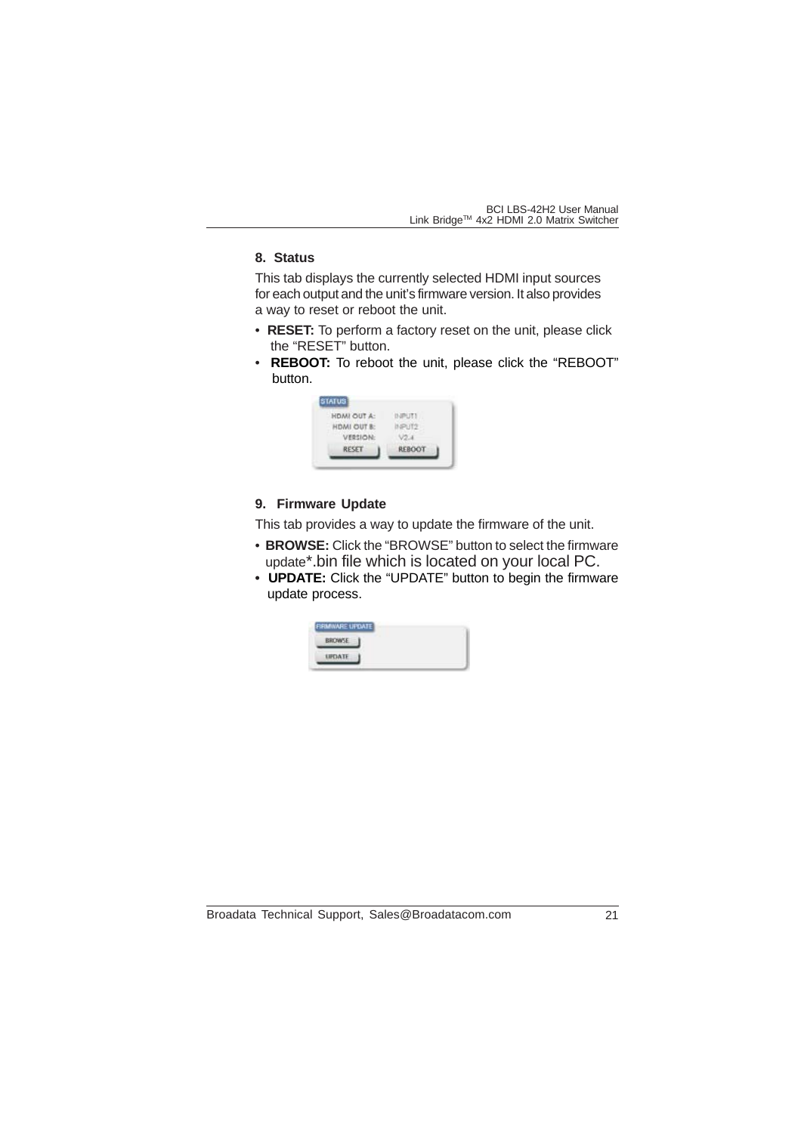#### **8. Status**

This tab displays the currently selected HDMI input sources for each output and the unit's firmware version. It also provides a way to reset or reboot the unit.

- **RESET:** To perform a factory reset on the unit, please click the "RESET" button.
- **REBOOT:** To reboot the unit, please click the "REBOOT" button.

| HDMI OUT A: |              |
|-------------|--------------|
| HDMI OUT B: |              |
| VERSION:    |              |
| RESET       | <b>REBOO</b> |

#### **9. Firmware Update**

This tab provides a way to update the firmware of the unit.

- **BROWSE:** Click the "BROWSE" button to select the firmware update\*.bin file which is located on your local PC.
- **UPDATE:** Click the "UPDATE" button to begin the firmware update process.

| FIRM/WARE UPDATE |  |  |
|------------------|--|--|
| BROWSE           |  |  |
| <b>ERELATE</b>   |  |  |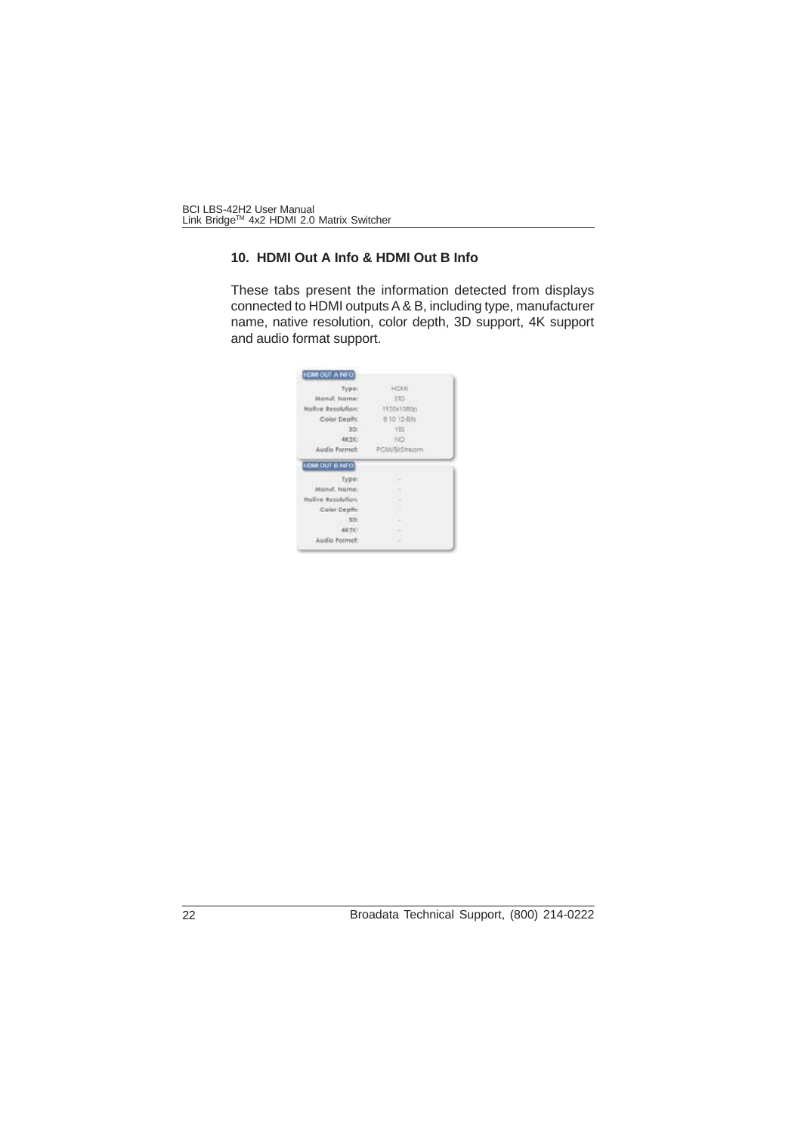## **10. HDMI Out A Info & HDMI Out B Info**

These tabs present the information detected from displays connected to HDMI outputs A & B, including type, manufacturer name, native resolution, color depth, 3D support, 4K support and audio format support.

| Tyma:                             | <b>HOM</b>                     |
|-----------------------------------|--------------------------------|
| Manuf, Norna                      | 110:                           |
| Nallye Resolution:                | 1920x1080m                     |
| Color Depth:                      | 8.10.12-8.hz                   |
| 301                               | TEL:                           |
| 48, 210                           | $-140$                         |
| Audio Formet:                     | PCM/BirStream                  |
| IOUT E NFO<br><b>SEM</b><br>Type: | ٠<br>C) in                     |
| Agnut, Ngme:                      | $\sim$<br>٠                    |
|                                   |                                |
| Nalive Resolution.                | $\rightarrow$                  |
| Color Depth:                      |                                |
| SO-                               | m<br><b>The Second Service</b> |
| ARTIC:                            | <b>Contract</b><br>w           |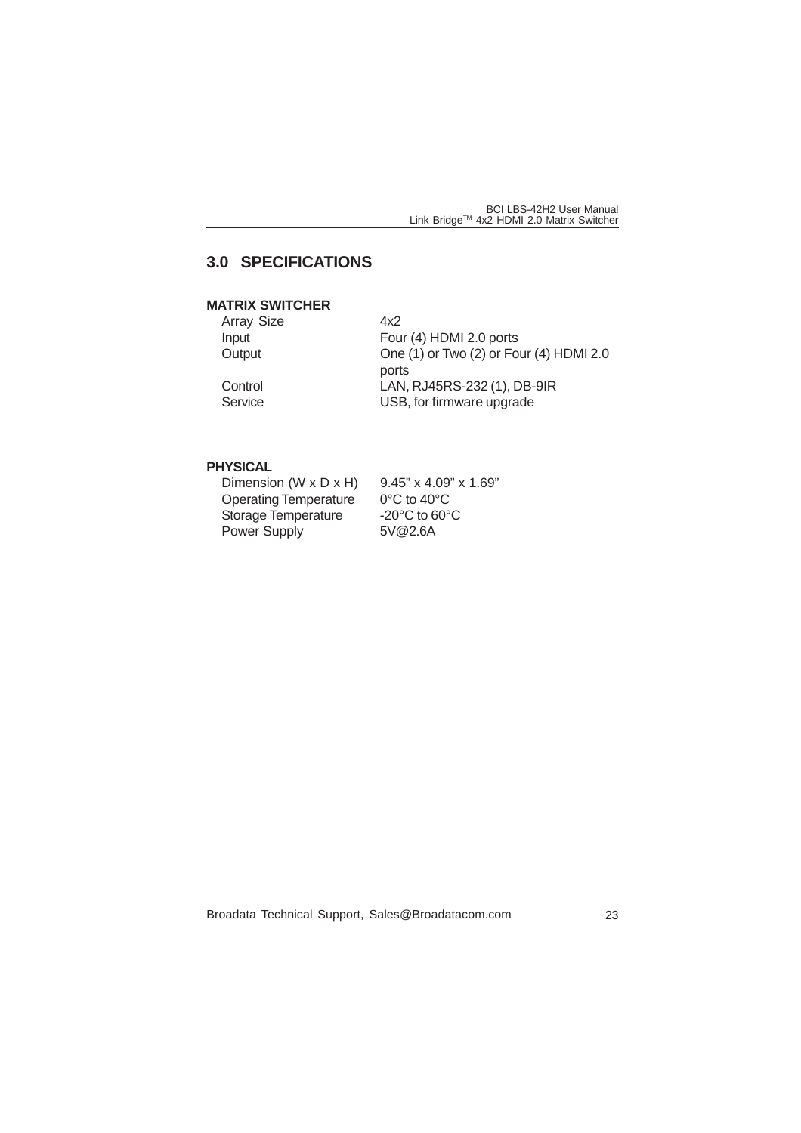# **3.0 SPECIFICATIONS**

## **MATRIX SWITCHER**

| <b>Array Size</b> | 4x2                                              |
|-------------------|--------------------------------------------------|
| Input             | Four (4) HDMI 2.0 ports                          |
| Output            | One (1) or Two (2) or Four (4) HDMI 2.0<br>ports |
| Control           | LAN, RJ45RS-232 (1), DB-9IR                      |
| Service           | USB, for firmware upgrade                        |
|                   |                                                  |

## **PHYSICAL**

| Dimension (W $\times$ D $\times$ H) | $9.45$ " x $4.09$ " x $1.69$ "     |
|-------------------------------------|------------------------------------|
| <b>Operating Temperature</b>        | $0^{\circ}$ C to 40 $^{\circ}$ C   |
| Storage Temperature                 | $-20^{\circ}$ C to 60 $^{\circ}$ C |
| <b>Power Supply</b>                 | 5V@2.6A                            |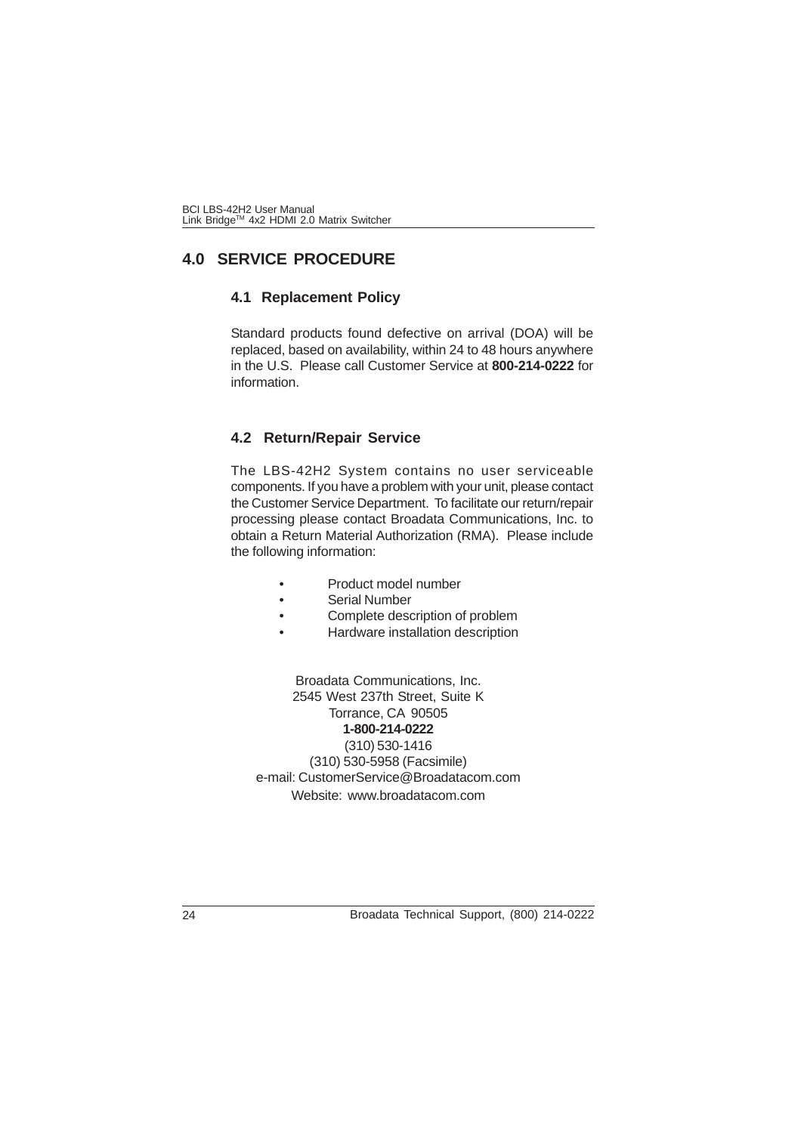# **4.0 SERVICE PROCEDURE**

### **4.1 Replacement Policy**

Standard products found defective on arrival (DOA) will be replaced, based on availability, within 24 to 48 hours anywhere in the U.S. Please call Customer Service at **800-214-0222** for information.

### **4.2 Return/Repair Service**

The LBS-42H2 System contains no user serviceable components. If you have a problem with your unit, please contact the Customer Service Department. To facilitate our return/repair processing please contact Broadata Communications, Inc. to obtain a Return Material Authorization (RMA). Please include the following information:

- Product model number
- Serial Number
- Complete description of problem
- Hardware installation description

Broadata Communications, Inc. 2545 West 237th Street, Suite K Torrance, CA 90505 **1-800-214-0222** (310) 530-1416 (310) 530-5958 (Facsimile) e-mail: CustomerService@Broadatacom.com Website: www.broadatacom.com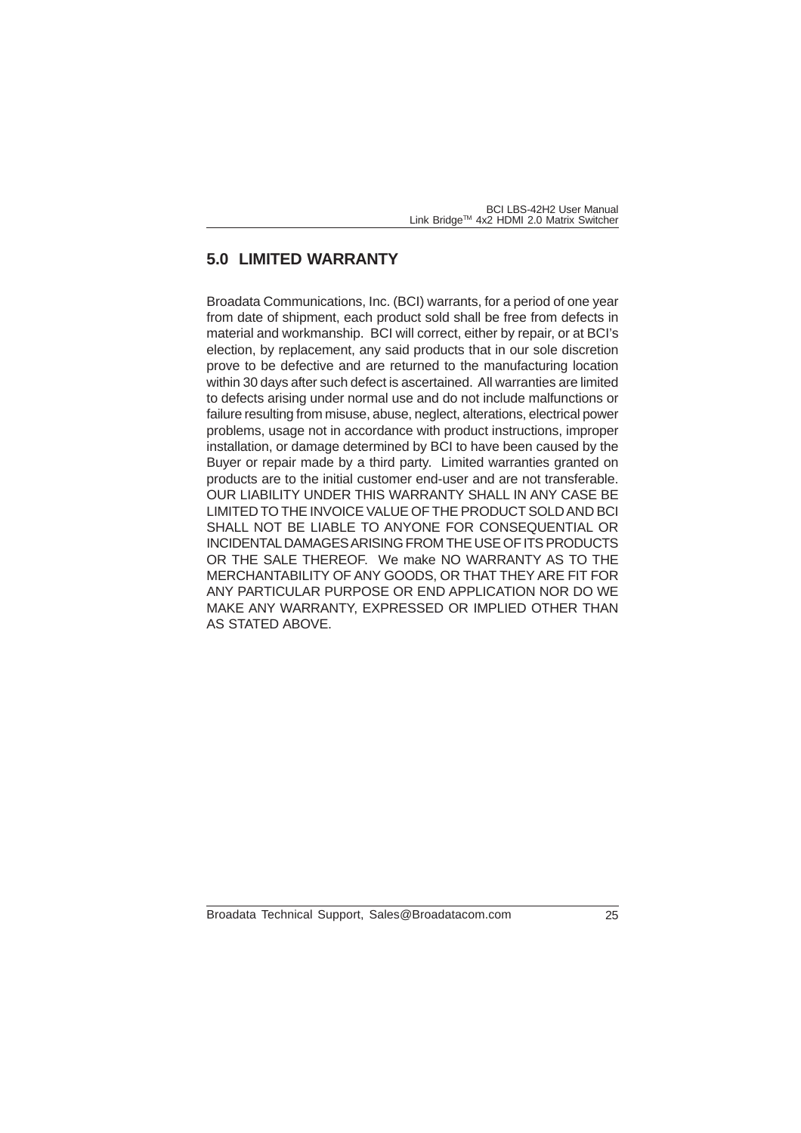# **5.0 LIMITED WARRANTY**

Broadata Communications, Inc. (BCI) warrants, for a period of one year from date of shipment, each product sold shall be free from defects in material and workmanship. BCI will correct, either by repair, or at BCI's election, by replacement, any said products that in our sole discretion prove to be defective and are returned to the manufacturing location within 30 days after such defect is ascertained. All warranties are limited to defects arising under normal use and do not include malfunctions or failure resulting from misuse, abuse, neglect, alterations, electrical power problems, usage not in accordance with product instructions, improper installation, or damage determined by BCI to have been caused by the Buyer or repair made by a third party. Limited warranties granted on products are to the initial customer end-user and are not transferable. OUR LIABILITY UNDER THIS WARRANTY SHALL IN ANY CASE BE LIMITED TO THE INVOICE VALUE OF THE PRODUCT SOLD AND BCI SHALL NOT BE LIABLE TO ANYONE FOR CONSEQUENTIAL OR INCIDENTAL DAMAGES ARISING FROM THE USE OF ITS PRODUCTS OR THE SALE THEREOF. We make NO WARRANTY AS TO THE MERCHANTABILITY OF ANY GOODS, OR THAT THEY ARE FIT FOR ANY PARTICULAR PURPOSE OR END APPLICATION NOR DO WE MAKE ANY WARRANTY, EXPRESSED OR IMPLIED OTHER THAN AS STATED ABOVE.